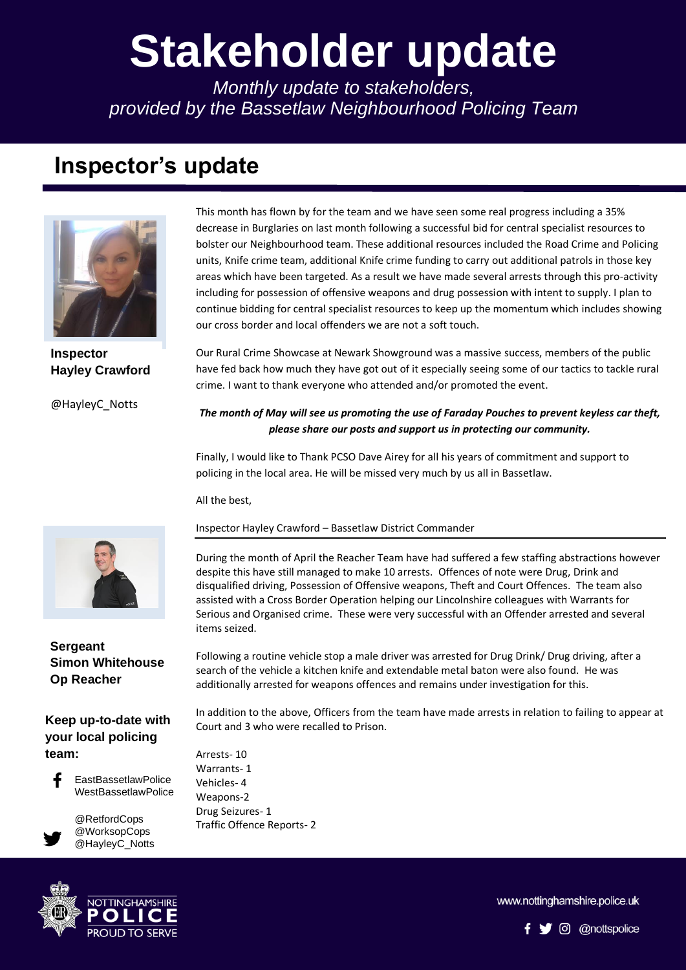# **Stakeholder update**

*Monthly update to stakeholders, provided by the Bassetlaw Neighbourhood Policing Team*

## **Inspector's update**



**Inspector Hayley Crawford**

@HayleyC\_Notts

#### **Sergeant Simon Whitehouse Op Reacher**

#### **Keep up-to-date with your local policing team:**



EastBassetlawPolice WestBassetlawPolice

> @RetfordCops @WorksopCops @HayleyC\_Notts



This month has flown by for the team and we have seen some real progress including a 35% decrease in Burglaries on last month following a successful bid for central specialist resources to bolster our Neighbourhood team. These additional resources included the Road Crime and Policing units, Knife crime team, additional Knife crime funding to carry out additional patrols in those key areas which have been targeted. As a result we have made several arrests through this pro-activity including for possession of offensive weapons and drug possession with intent to supply. I plan to continue bidding for central specialist resources to keep up the momentum which includes showing our cross border and local offenders we are not a soft touch.

Our Rural Crime Showcase at Newark Showground was a massive success, members of the public have fed back how much they have got out of it especially seeing some of our tactics to tackle rural crime. I want to thank everyone who attended and/or promoted the event.

### *The month of May will see us promoting the use of Faraday Pouches to prevent keyless car theft, please share our posts and support us in protecting our community.*

policing in the local area. He will be missed very much by us all in Bassetlaw. Finally, I would like to Thank PCSO Dave Airey for all his years of commitment and support to

All the best,

#### Inspector Hayley Crawford – Bassetlaw District Commander

During the month of April the Reacher Team have had suffered a few staffing abstractions however despite this have still managed to make 10 arrests. Offences of note were Drug, Drink and disqualified driving, Possession of Offensive weapons, Theft and Court Offences. The team also assisted with a Cross Border Operation helping our Lincolnshire colleagues with Warrants for Serious and Organised crime. These were very successful with an Offender arrested and several items seized.

Following a routine vehicle stop a male driver was arrested for Drug Drink/ Drug driving, after a search of the vehicle a kitchen knife and extendable metal baton were also found. He was additionally arrested for weapons offences and remains under investigation for this.

In addition to the above, Officers from the team have made arrests in relation to failing to appear at Court and 3 who were recalled to Prison.

Arrests- 10 Warrants- 1 Vehicles- 4 Weapons-2 Drug Seizures- 1 Traffic Offence Reports- 2

www.nottinghamshire.police.uk

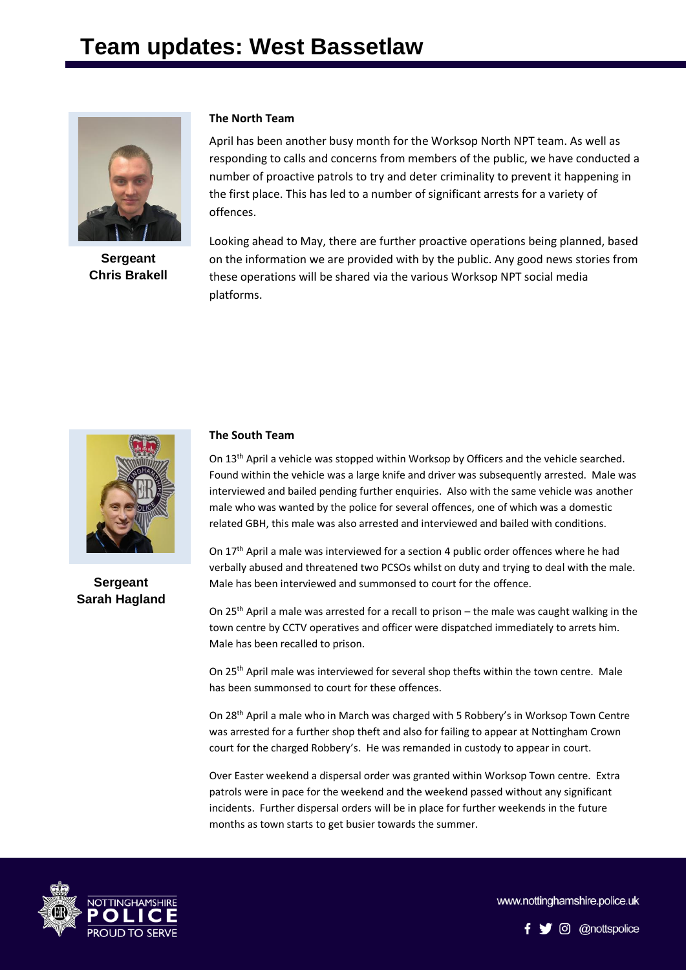

**Sergeant Chris Brakell**

#### **The North Team**

April has been another busy month for the Worksop North NPT team. As well as responding to calls and concerns from members of the public, we have conducted a number of proactive patrols to try and deter criminality to prevent it happening in the first place. This has led to a number of significant arrests for a variety of offences.

Looking ahead to May, there are further proactive operations being planned, based on the information we are provided with by the public. Any good news stories from these operations will be shared via the various Worksop NPT social media platforms.



**Sergeant Sarah Hagland**

#### **The South Team**

On 13<sup>th</sup> April a vehicle was stopped within Worksop by Officers and the vehicle searched. Found within the vehicle was a large knife and driver was subsequently arrested. Male was interviewed and bailed pending further enquiries. Also with the same vehicle was another male who was wanted by the police for several offences, one of which was a domestic related GBH, this male was also arrested and interviewed and bailed with conditions.

On 17th April a male was interviewed for a section 4 public order offences where he had verbally abused and threatened two PCSOs whilst on duty and trying to deal with the male. Male has been interviewed and summonsed to court for the offence.

On 25th April a male was arrested for a recall to prison – the male was caught walking in the town centre by CCTV operatives and officer were dispatched immediately to arrets him. Male has been recalled to prison.

On 25th April male was interviewed for several shop thefts within the town centre. Male has been summonsed to court for these offences.

On 28th April a male who in March was charged with 5 Robbery's in Worksop Town Centre was arrested for a further shop theft and also for failing to appear at Nottingham Crown court for the charged Robbery's. He was remanded in custody to appear in court.

Over Easter weekend a dispersal order was granted within Worksop Town centre. Extra patrols were in pace for the weekend and the weekend passed without any significant incidents. Further dispersal orders will be in place for further weekends in the future months as town starts to get busier towards the summer.



www.nottinghamshire.police.uk